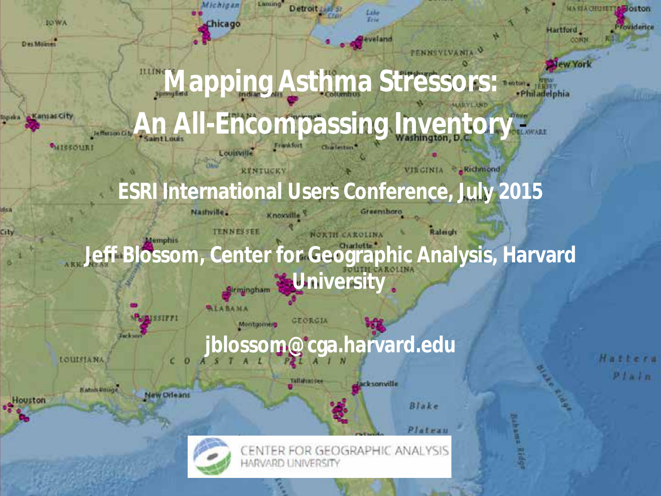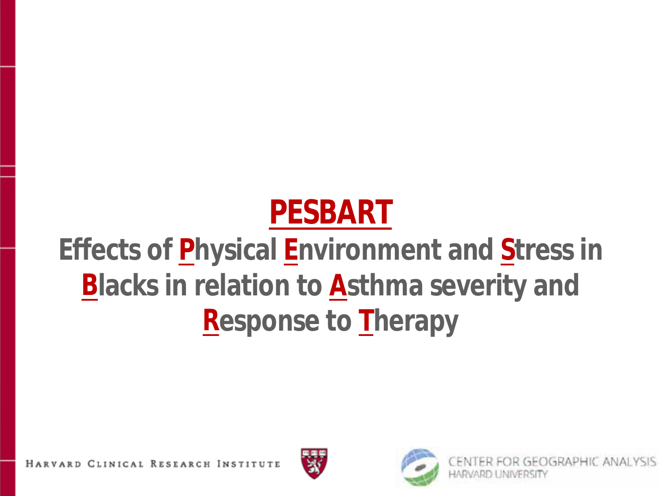# **PESBART**

# **Effects of Physical Environment and Stress in Blacks in relation to Asthma severity and Response to Therapy**

HARVARD CLINICAL RESEARCH INSTITUTE





OGRAPHIC ANALYSIS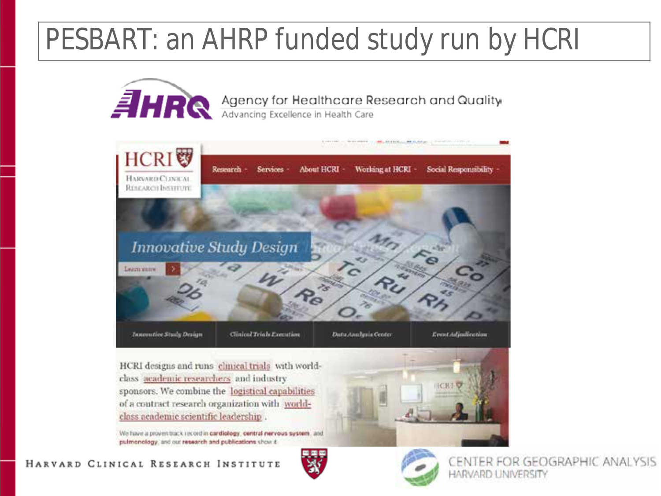# PESBART: an AHRP funded study run by HCRI



#### HARVARD CLINICAL RESEARCH INSTITUTE



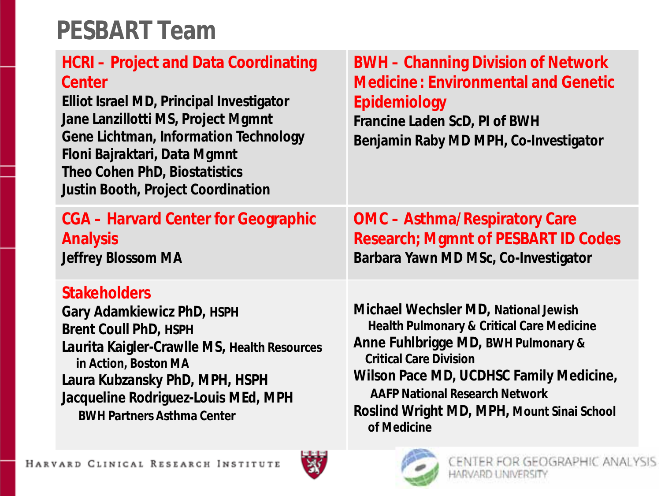# **PESBART Team**

| <b>HCRI-Project and Data Coordinating</b><br>Center<br>Elliot Israel MD, Principal Investigator<br>Jane Lanzillotti MS, Project Mgmnt<br><b>Gene Lichtman, Information Technology</b><br>Floni Bajraktari, Data Mgmnt<br>Theo Cohen PhD, Biostatistics<br><b>Justin Booth, Project Coordination</b> | <b>BWH - Channing Division of Network</b><br><b>Medicine: Environmental and Genetic</b><br>Epidemiology<br>Francine Laden ScD, PI of BWH<br>Benjamin Raby MD MPH, Co-Investigator |
|-----------------------------------------------------------------------------------------------------------------------------------------------------------------------------------------------------------------------------------------------------------------------------------------------------|-----------------------------------------------------------------------------------------------------------------------------------------------------------------------------------|
| <b>CGA - Harvard Center for Geographic</b>                                                                                                                                                                                                                                                          | <b>OMC - Asthma/Respiratory Care</b>                                                                                                                                              |
| <b>Analysis</b>                                                                                                                                                                                                                                                                                     | <b>Research; Mgmnt of PESBART ID Codes</b>                                                                                                                                        |
| <b>Jeffrey Blossom MA</b>                                                                                                                                                                                                                                                                           | Barbara Yawn MD MSc, Co-Investigator                                                                                                                                              |
| <b>Stakeholders</b>                                                                                                                                                                                                                                                                                 | Michael Wechsler MD, National Jewish                                                                                                                                              |
| <b>Gary Adamkiewicz PhD, HSPH</b>                                                                                                                                                                                                                                                                   | Health Pulmonary & Critical Care Medicine                                                                                                                                         |
| <b>Brent Coull PhD, HSPH</b>                                                                                                                                                                                                                                                                        | Anne Fuhlbrigge MD, BWH Pulmonary &                                                                                                                                               |
| Laurita Kaigler-Crawlle MS, Health Resources                                                                                                                                                                                                                                                        | <b>Critical Care Division</b>                                                                                                                                                     |
| in Action, Boston MA                                                                                                                                                                                                                                                                                | Wilson Pace MD, UCDHSC Family Medicine,                                                                                                                                           |
| Laura Kubzansky PhD, MPH, HSPH                                                                                                                                                                                                                                                                      | <b>AAFP National Research Network</b>                                                                                                                                             |
| Jacqueline Rodriguez-Louis MEd, MPH                                                                                                                                                                                                                                                                 | Roslind Wright MD, MPH, Mount Sinai School                                                                                                                                        |
| <b>BWH Partners Asthma Center</b>                                                                                                                                                                                                                                                                   | of Medicine                                                                                                                                                                       |



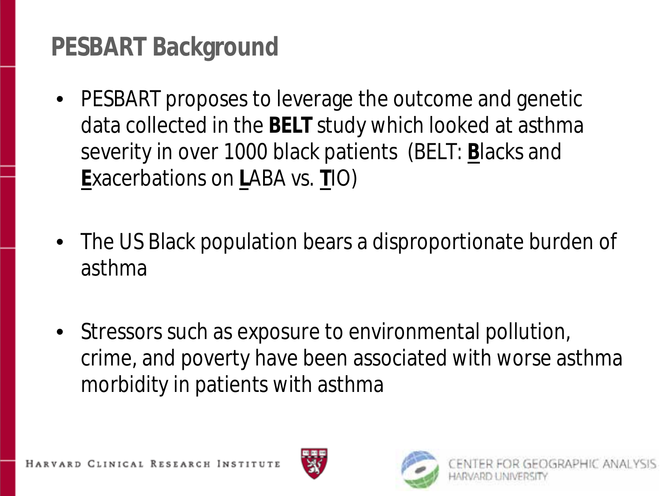# **PESBART Background**

- PESBART proposes to leverage the outcome and genetic data collected in the **BELT** study which looked at asthma severity in over 1000 black patients (BELT: **B**lacks and **E**xacerbations on **L**ABA vs. **T**IO)
- The US Black population bears a disproportionate burden of asthma
- Stressors such as exposure to environmental pollution, crime, and poverty have been associated with worse asthma morbidity in patients with asthma



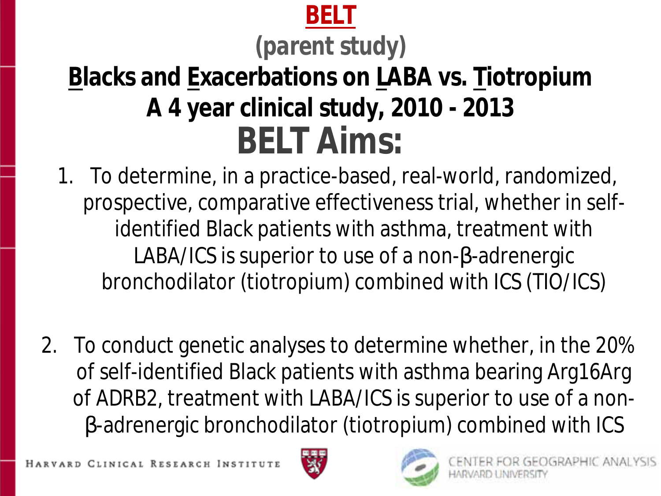## **BELT**

# *(parent study)*

# **Blacks and Exacerbations on LABA vs. Tiotropium A 4 year clinical study, 2010 - 2013 BELT Aims:**

- 1. To determine, in a practice-based, real-world, randomized, prospective, comparative effectiveness trial, whether in selfidentified Black patients with asthma, treatment with LABA/ICS is superior to use of a non-b-adrenergic bronchodilator (tiotropium) combined with ICS (TIO/ICS)
- 2. To conduct genetic analyses to determine whether, in the 20% of self-identified Black patients with asthma bearing Arg16Arg of ADRB2, treatment with LABA/ICS is superior to use of a non- -adrenergic bronchodilator (tiotropium) combined with ICS



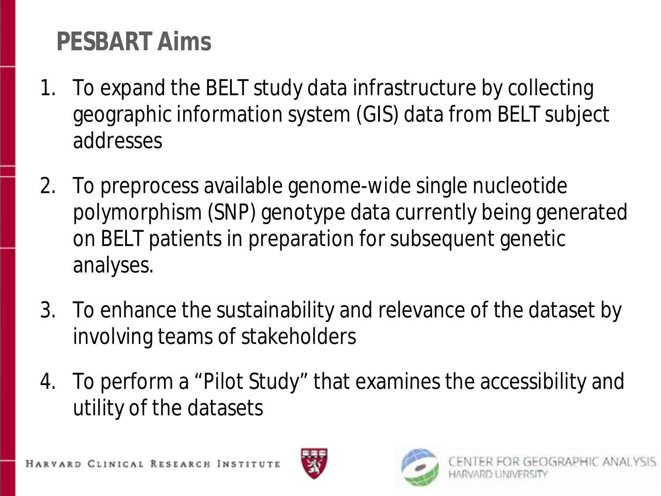# **PESBART Aims**

- 1. To expand the BELT study data infrastructure by collecting geographic information system (GIS) data from BELT subject addresses
- 2. To preprocess available genome-wide single nucleotide polymorphism (SNP) genotype data currently being generated on BELT patients in preparation for subsequent genetic analyses.
- 3. To enhance the sustainability and relevance of the dataset by involving teams of stakeholders
- 4. To perform a "Pilot Study" that examines the accessibility and utility of the datasets

HARVARD CLINICAL RESEARCH INSTITUTE



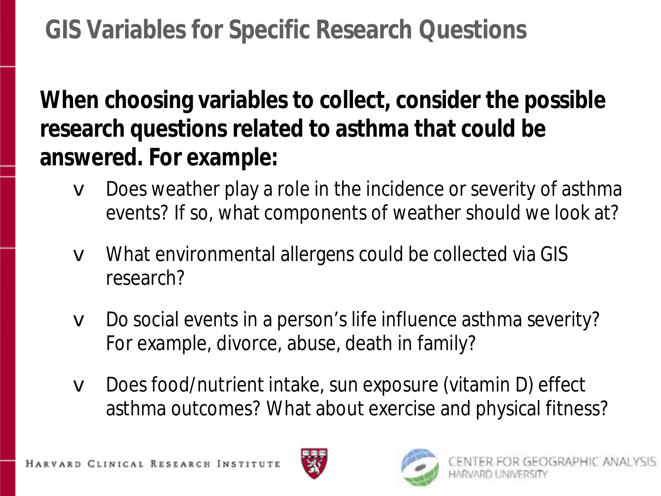# **GIS Variables for Specific Research Questions**

**When choosing variables to collect, consider the possible research questions related to asthma that could be answered. For example:**

- **v** Does weather play a role in the incidence or severity of asthma events? If so, what components of weather should we look at?
- v What environmental allergens could be collected via GIS research?
- v Do social events in a person's life influence asthma severity? For example, divorce, abuse, death in family?
- Does food/nutrient intake, sun exposure (vitamin D) effect asthma outcomes? What about exercise and physical fitness?



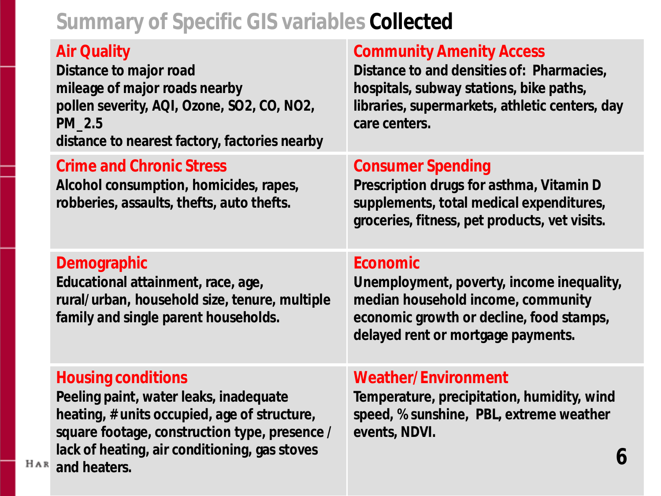#### **Summary of Specific GIS variables** *Collected*

#### **Air Quality**

**Distance to major road mileage of major roads nearby pollen severity, AQI, Ozone, SO2, CO, NO2, PM\_2.5 distance to nearest factory, factories nearby**

#### **Crime and Chronic Stress**

**Alcohol consumption, homicides, rapes, robberies, assaults, thefts, auto thefts.**

#### **Community Amenity Access**

**Distance to and densities of: Pharmacies, hospitals, subway stations, bike paths, libraries, supermarkets, athletic centers, day care centers.**

#### **Consumer Spending**

**Prescription drugs for asthma, Vitamin D supplements, total medical expenditures, groceries, fitness, pet products, vet visits.**

#### **Demographic**

**Educational attainment, race, age, rural/urban, household size, tenure, multiple family and single parent households.**

#### **Economic**

**Unemployment, poverty, income inequality, median household income, community economic growth or decline, food stamps, delayed rent or mortgage payments.**

#### **Housing conditions**

**Peeling paint, water leaks, inadequate heating, # units occupied, age of structure, square footage, construction type, presence / lack of heating, air conditioning, gas stoves and heaters.**

#### **Weather/Environment**

**Temperature, precipitation, humidity, wind speed, % sunshine, PBL, extreme weather events, NDVI.**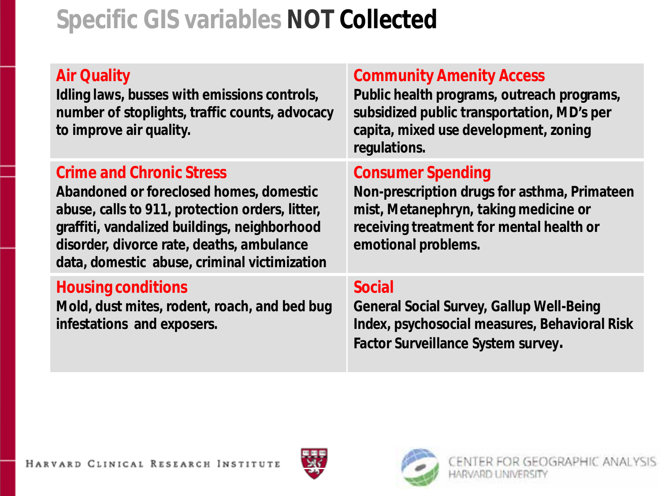# **Specific GIS variables** *NOT Collected*

#### **Air Quality**

**Idling laws, busses with emissions controls, number of stoplights, traffic counts, advocacy to improve air quality.**

#### **Crime and Chronic Stress**

**Abandoned or foreclosed homes, domestic abuse, calls to 911, protection orders, litter, graffiti, vandalized buildings, neighborhood disorder, divorce rate, deaths, ambulance data, domestic abuse, criminal victimization**

#### **Housing conditions**

**Mold, dust mites, rodent, roach, and bed bug infestations and exposers.** 

#### **Community Amenity Access**

**Public health programs, outreach programs, subsidized public transportation, MD's per capita, mixed use development, zoning regulations.**

#### **Consumer Spending**

**Non-prescription drugs for asthma, Primateen mist, Metanephryn, taking medicine or receiving treatment for mental health or emotional problems.**

#### **Social**

**General Social Survey, Gallup Well-Being Index, psychosocial measures, Behavioral Risk Factor Surveillance System survey.**



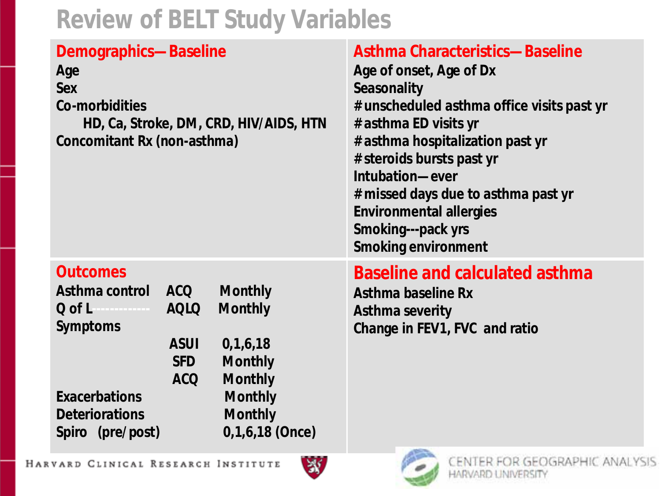## **Review of BELT Study Variables**

| Demographics-Baseline<br>Age<br><b>Sex</b><br><b>Co-morbidities</b><br>HD, Ca, Stroke, DM, CRD, HIV/AIDS, HTN<br>Concomitant Rx (non-asthma)                                                                                                                                                                                                                                 | <b>Asthma Characteristics-Baseline</b><br>Age of onset, Age of Dx<br>Seasonality<br># unscheduled asthma office visits past yr<br># asthma ED visits yr<br># asthma hospitalization past yr<br># steroids bursts past yr<br>Intubation-ever<br># missed days due to asthma past yr<br><b>Environmental allergies</b><br>Smoking---pack yrs<br><b>Smoking environment</b> |
|------------------------------------------------------------------------------------------------------------------------------------------------------------------------------------------------------------------------------------------------------------------------------------------------------------------------------------------------------------------------------|--------------------------------------------------------------------------------------------------------------------------------------------------------------------------------------------------------------------------------------------------------------------------------------------------------------------------------------------------------------------------|
| <b>Outcomes</b><br>Asthma control ACQ<br><b>Monthly</b><br><b>Q</b> of L <b>CONSCRIPTION</b><br><b>AQLQ</b><br><b>Monthly</b><br><b>Symptoms</b><br><b>ASUI</b><br>0, 1, 6, 18<br><b>SFD</b><br><b>Monthly</b><br><b>ACQ</b><br><b>Monthly</b><br><b>Exacerbations</b><br><b>Monthly</b><br><b>Deteriorations</b><br><b>Monthly</b><br>$0,1,6,18$ (Once)<br>Spiro (pre/post) | <b>Baseline and calculated asthma</b><br><b>Asthma baseline Rx</b><br><b>Asthma severity</b><br>Change in FEV1, FVC and ratio<br><b>ALCOHOL:</b>                                                                                                                                                                                                                         |

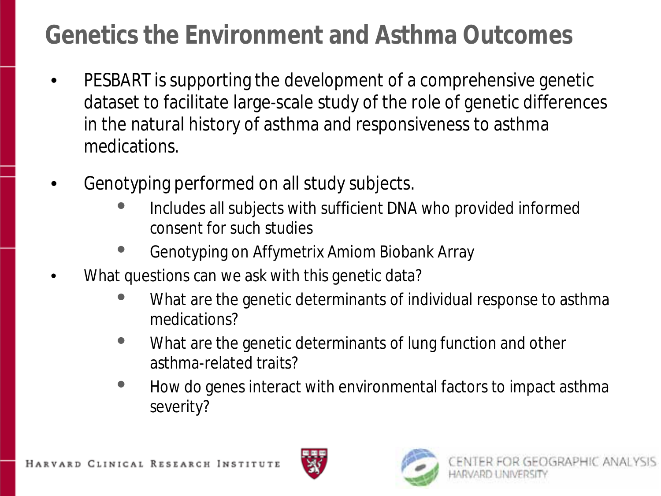# **Genetics the Environment and Asthma Outcomes**

- PESBART is supporting the development of a comprehensive genetic dataset to facilitate large-scale study of the role of genetic differences in the natural history of asthma and responsiveness to asthma medications.
- Genotyping performed on all study subjects.
	- Includes all subjects with sufficient DNA who provided informed consent for such studies
	- Genotyping on Affymetrix Amiom Biobank Array
- What questions can we ask with this genetic data?
	- What are the genetic determinants of individual response to asthma medications?
	- What are the genetic determinants of lung function and other asthma-related traits?
	- How do genes interact with environmental factors to impact asthma severity?



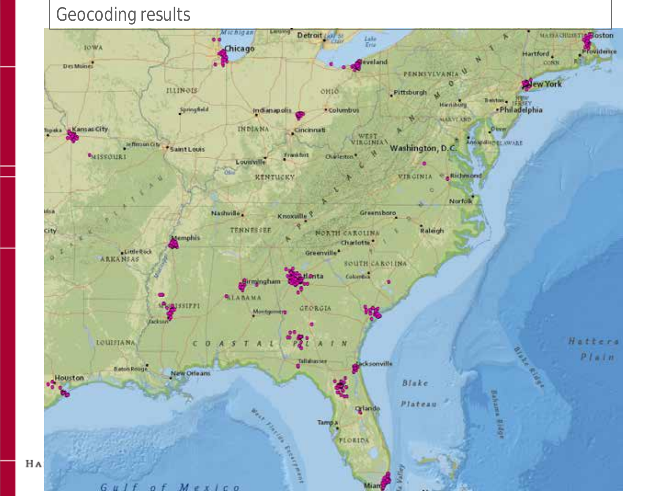#### Geocoding results

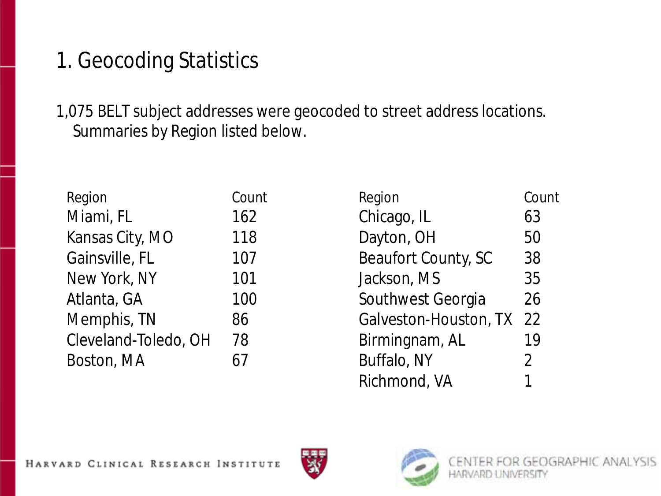## 1. Geocoding Statistics

1,075 BELT subject addresses were geocoded to street address locations. Summaries by Region listed below.

| Region               | Count | Region                | Count          |
|----------------------|-------|-----------------------|----------------|
| Miami, FL            | 162   | Chicago, IL           | 63             |
| Kansas City, MO      | 118   | Dayton, OH            | 50             |
| Gainsville, FL       | 107   | Beaufort County, SC   | 38             |
| New York, NY         | 101   | Jackson, MS           | 35             |
| Atlanta, GA          | 100   | Southwest Georgia     | 26             |
| Memphis, TN          | 86    | Galveston-Houston, TX | 22             |
| Cleveland-Toledo, OH | 78    | Birmingnam, AL        | 19             |
| Boston, MA           | 67    | Buffalo, NY           | $\overline{2}$ |

| Region                | Count |
|-----------------------|-------|
| Chicago, IL           | 63    |
| Dayton, OH            | 50    |
| Beaufort County, SC   | 38    |
| Jackson, MS           | 35    |
| Southwest Georgia     | 26    |
| Galveston-Houston, TX | 22    |
| Birmingnam, AL        | 19    |
| Buffalo, NY           | 2     |
| Richmond, VA          | 1     |



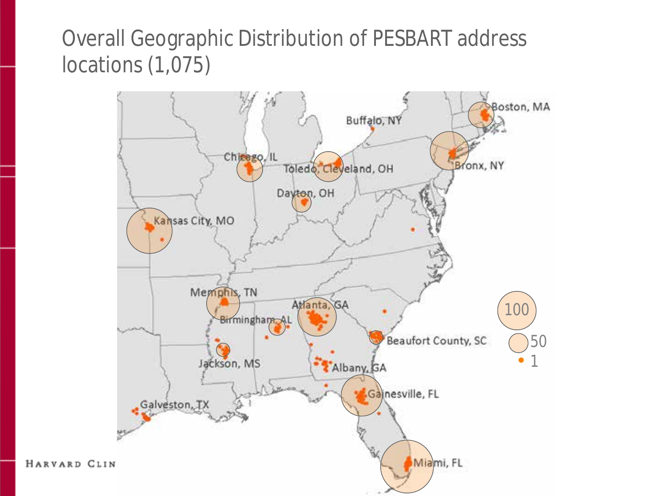### Overall Geographic Distribution of PESBART address locations (1,075)

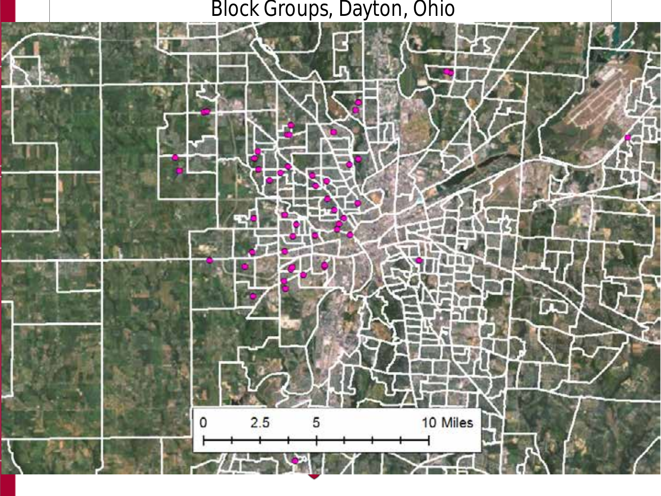#### Block Groups, Dayton, Ohio

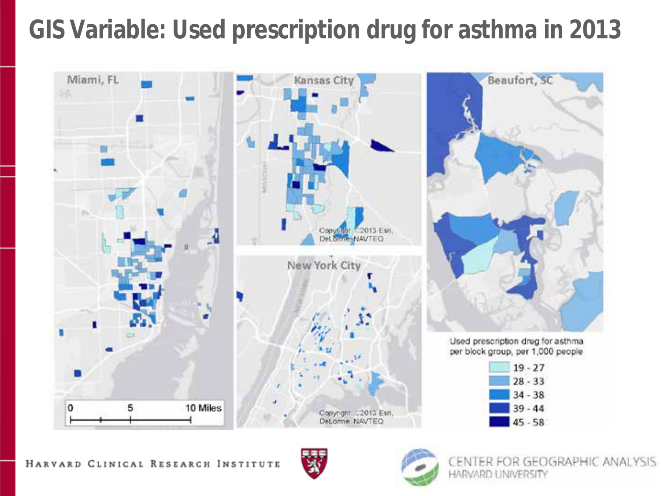# **GIS Variable: Used prescription drug for asthma in 2013**





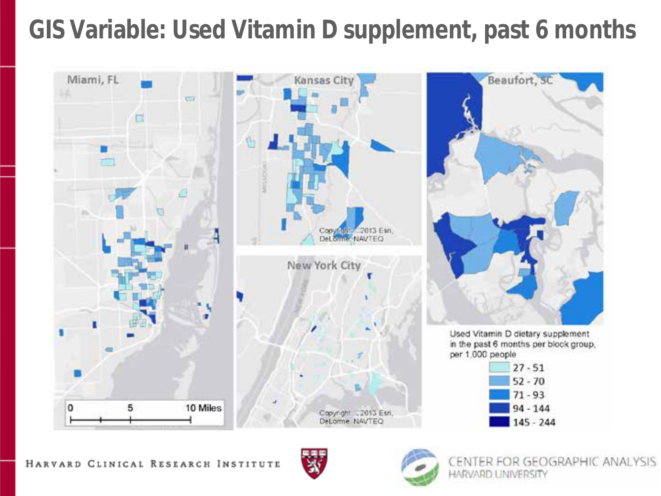# **GIS Variable: Used Vitamin D supplement, past 6 months**





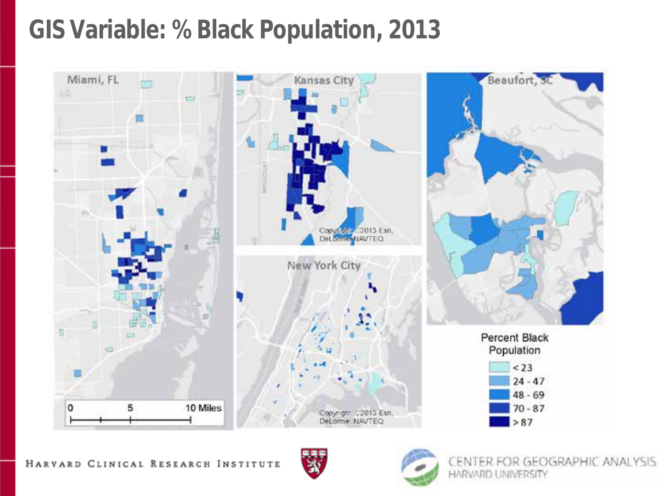## **GIS Variable: % Black Population, 2013**





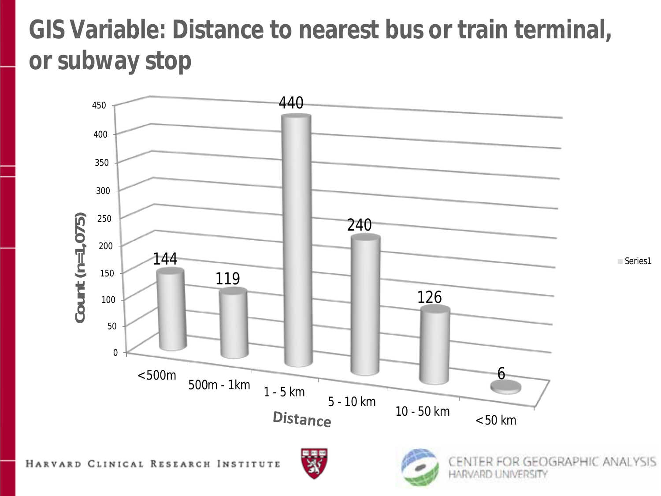# **GIS Variable: Distance to nearest bus or train terminal, or subway stop**





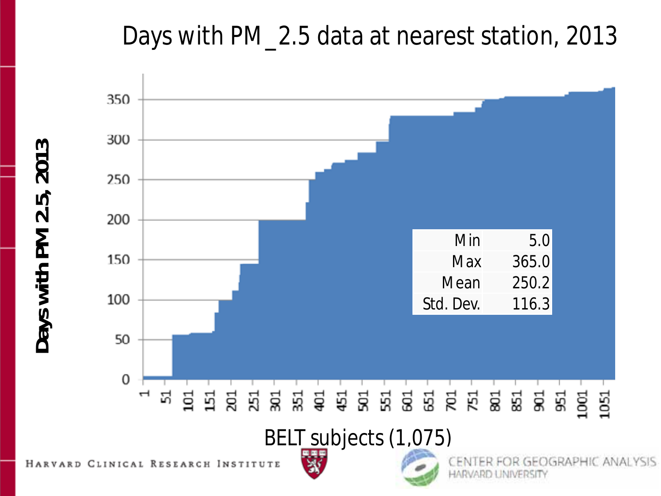## Days with PM\_2.5 data at nearest station, 2013

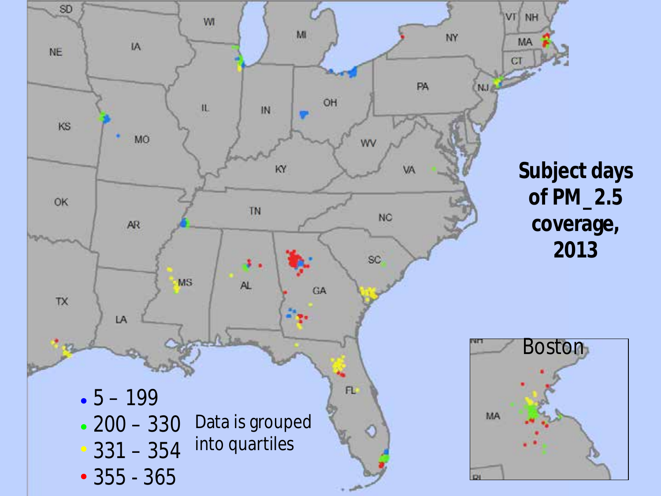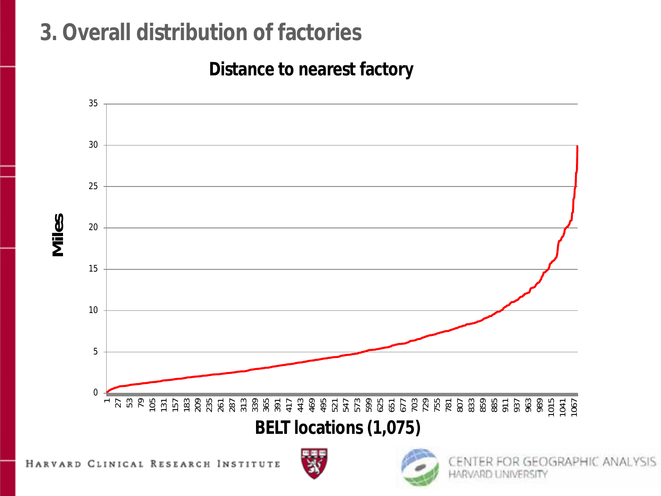## **3. Overall distribution of factories**

#### **Distance to nearest factory**





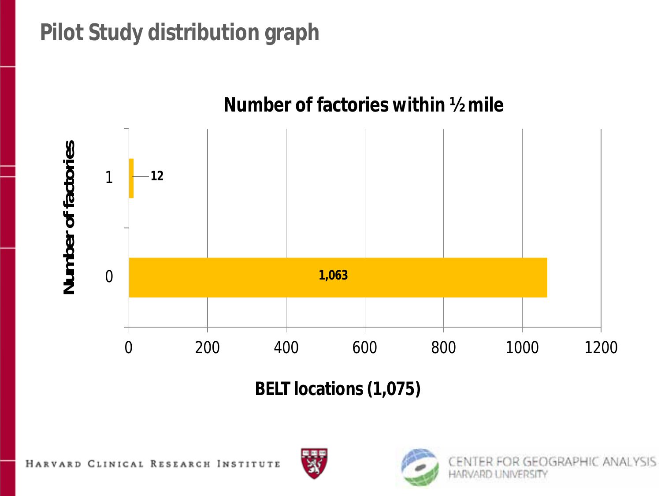## **Pilot Study distribution graph**



**BELT locations (1,075)** 



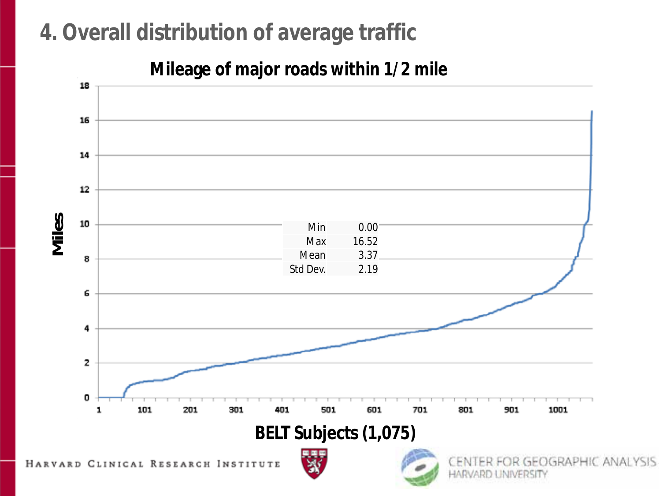## **4. Overall distribution of average traffic**

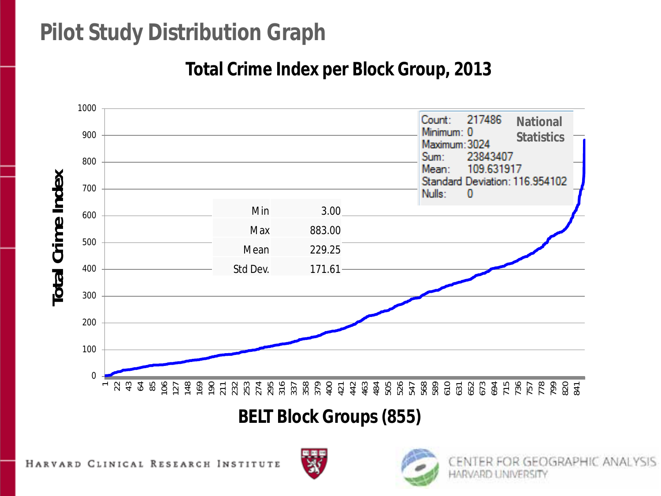### **Pilot Study Distribution Graph**

#### **Total Crime Index per Block Group, 2013**



**BELT Block Groups (855)** 



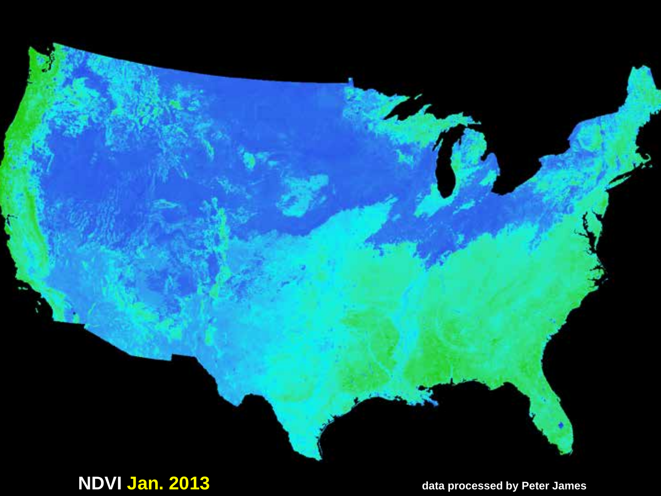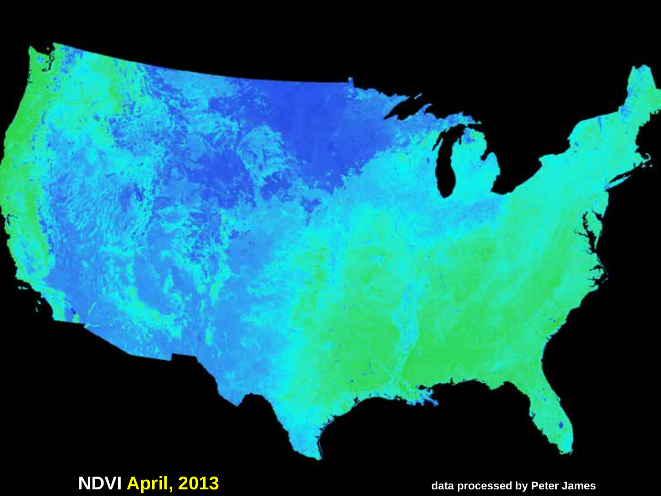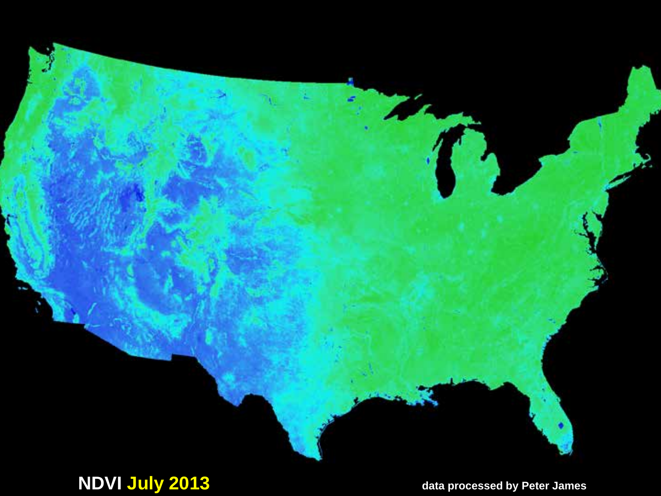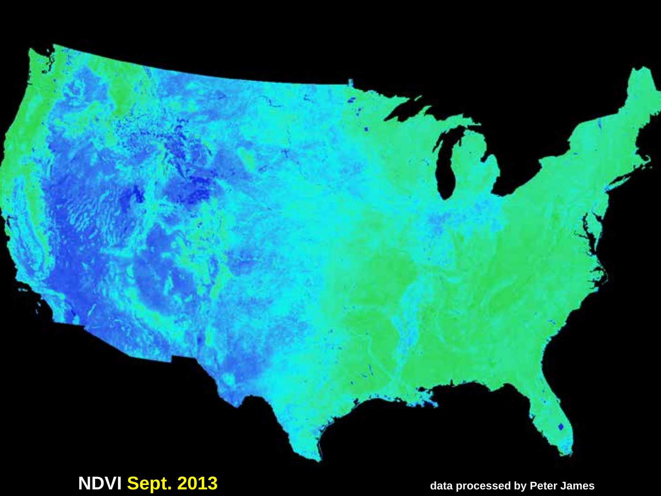

### **NDVI Sept. 2013** data processed by Peter James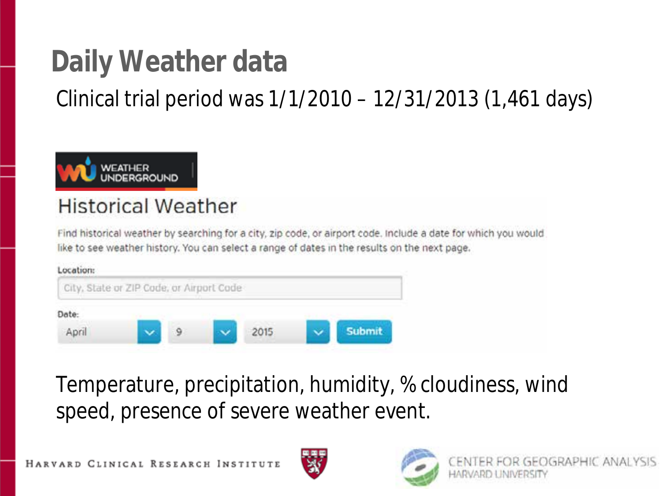# **Daily Weather data**

Clinical trial period was 1/1/2010 – 12/31/2013 (1,461 days)



#### **Historical Weather**

Find historical weather by searching for a city, zip code, or airport code. Include a date for which you would like to see weather history. You can select a range of dates in the results on the next page.



Temperature, precipitation, humidity, % cloudiness, wind speed, presence of severe weather event.

HARVARD CLINICAL RESEARCH INSTITUTE



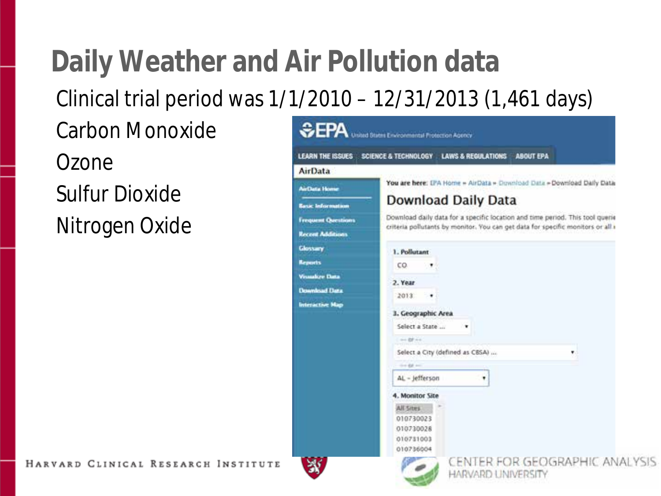# **Daily Weather and Air Pollution data**

Clinical trial period was 1/1/2010 – 12/31/2013 (1,461 days)

Carbon Monoxide

Ozone Sulfur Dioxide Nitrogen Oxide

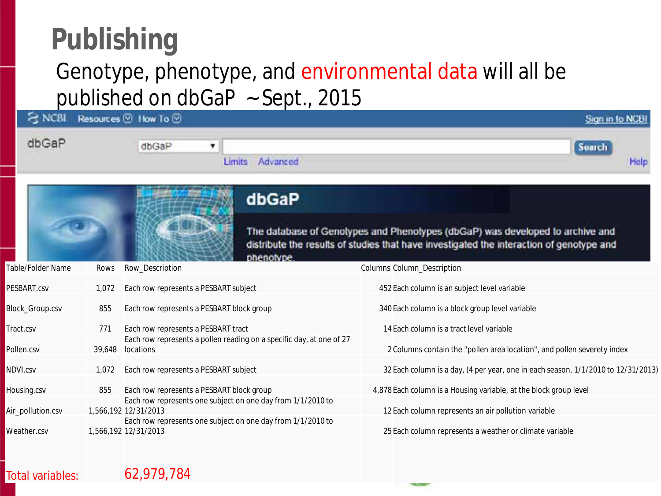# **Publishing**

### Genotype, phenotype, and environmental data will all be published on dbGaP ~ Sept., 2015

| <b>NCBI</b>            | Resources <sup>[9]</sup> | How To <b>⊙</b>                           |                                                                      | Sign in to NCB                                                                                                                                                            |
|------------------------|--------------------------|-------------------------------------------|----------------------------------------------------------------------|---------------------------------------------------------------------------------------------------------------------------------------------------------------------------|
| dbGaP                  |                          | dbGaP                                     | ٠<br>Advanced<br><b>Limits</b>                                       | Search<br>Help                                                                                                                                                            |
|                        |                          |                                           | dbGaP                                                                | The database of Genotypes and Phenotypes (dbGaP) was developed to archive and<br>distribute the results of studies that have investigated the interaction of genotype and |
| Table/Folder Name      | Rows                     | Row_Description                           | phenotype.                                                           | Columns Column_Description                                                                                                                                                |
| PESBART.csv            | 1.072                    | Each row represents a PESBART subject     |                                                                      | 452 Each column is an subject level variable                                                                                                                              |
| <b>Block Group.csv</b> | 855                      | Each row represents a PESBART block group |                                                                      | 340 Each column is a block group level variable                                                                                                                           |
| Tract.csv              | 771                      | Each row represents a PESBART tract       |                                                                      | 14 Each column is a tract level variable                                                                                                                                  |
| Pollen.csv             |                          | 39,648 locations                          | Each row represents a pollen reading on a specific day, at one of 27 | 2 Columns contain the "pollen area location", and pollen severety index                                                                                                   |
| NDVI.csv               | 1,072                    | Each row represents a PESBART subject     |                                                                      | 32 Each column is a day, (4 per year, one in each season, 1/1/2010 to 12/31/2013)                                                                                         |
| Housing.csv            | 855                      | Each row represents a PESBART block group |                                                                      | 4,878 Each column is a Housing variable, at the block group level                                                                                                         |
| Air_pollution.csv      |                          | 1,566,192 12/31/2013                      | Each row represents one subject on one day from 1/1/2010 to          | 12 Each column represents an air pollution variable                                                                                                                       |
| Weather.csv            |                          | 1,566,192 12/31/2013                      | Each row represents one subject on one day from 1/1/2010 to          | 25 Each column represents a weather or climate variable                                                                                                                   |
|                        |                          |                                           |                                                                      |                                                                                                                                                                           |

#### Total variables: 62,979,784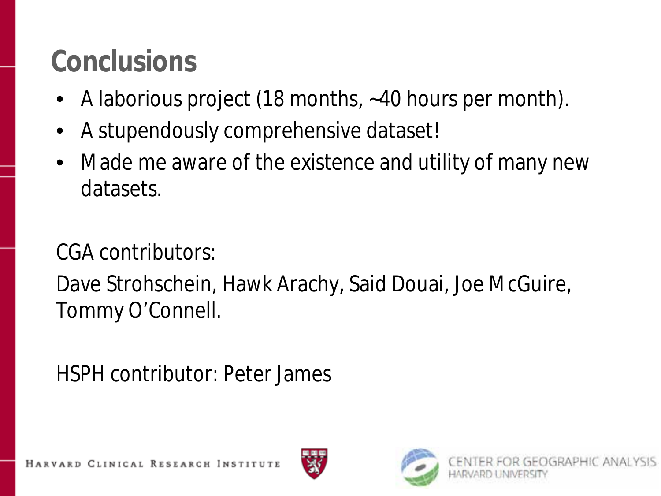# **Conclusions**

- A laborious project (18 months, ~40 hours per month).
- A stupendously comprehensive dataset!
- Made me aware of the existence and utility of many new datasets.

CGA contributors:

Dave Strohschein, Hawk Arachy, Said Douai, Joe McGuire, Tommy O'Connell.

HSPH contributor: Peter James

ARD CLINICAL RESEARCH INSTITUTE